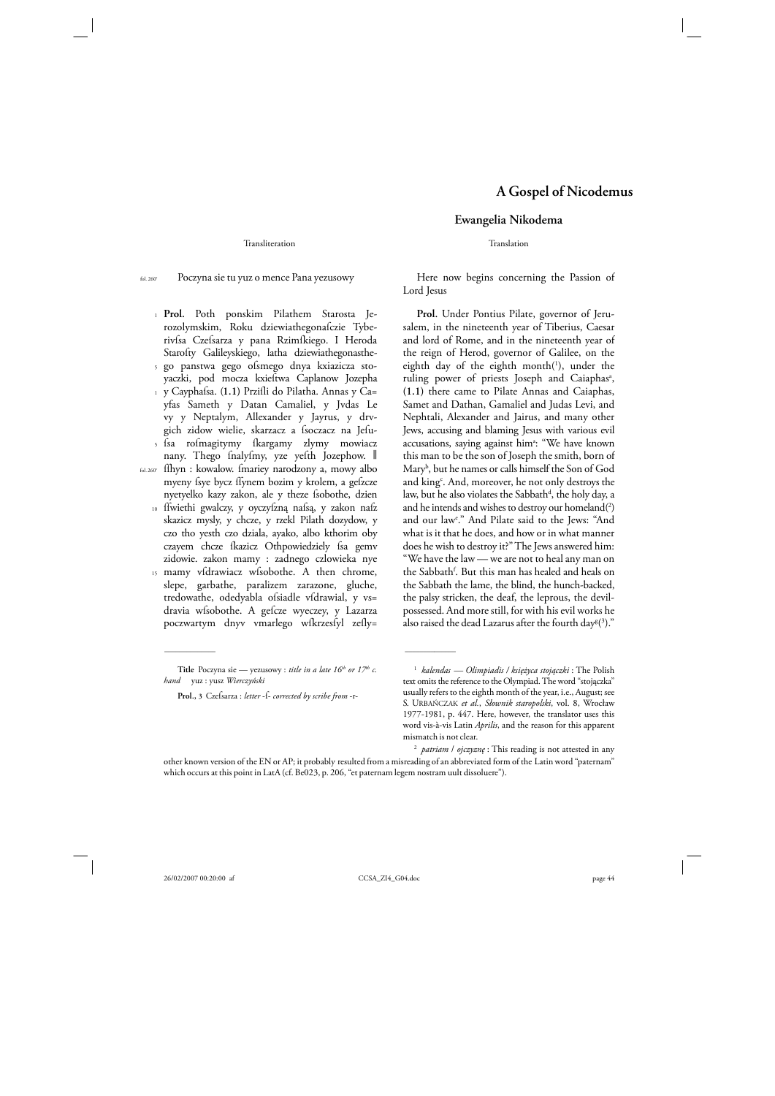Transliteration

1 **Prol.** Poth ponskim Pilathem Starosta Je-5 go panstwa gego oſsmego dnya kxiazicza sto-1 y Cayphaſsa. (**1.1)** Prziſli do Pilatha. Annas y Ca= 5 ſsa roſmagitymy ſkargamy zlymy mowiacz fol. 260v ſſhyn : kowalow. ſmariey narodzony a, mowy albo rozolymskim, Roku dziewiathegonafczie Tyberivſsa Czeſsarza y pana Rzimſkiego. I Heroda Starofty Galileyskiego, latha dziewiathegonastheyaczki, pod mocza kxieſtwa Caplanow Jozepha yfas Sameth y Datan Camaliel, y Jvdas Le vy y Neptalym, Allexander y Jayrus, y drvgich zidow wielie, skarzacz a fsoczacz na Jefunany. Thego fnalyfmy, yze yefth Jozephow. I

10 ffwiethi gwalczy, y oyczyfzną nafsą, y zakon nafz 15 myeny fsye bycz ffynem bozim y krolem, a gefzcze nyetyelko kazy zakon, ale y theze ſsobothe, dzien skazicz mysly, y chcze, y rzekl Pilath dozydow, y czo tho yesth czo dziala, ayako, albo kthorim oby czayem chcze fkazicz Othpowiedziely fsa gemv zidowie. zakon mamy : zadnego czlowieka nye mamy vídrawiacz wísobothe. A then chrome, slepe, garbathe, paralizem zarazone, gluche, tredowathe, odedyabla ofsiadle vfdrawial, y vs= dravia wfsobothe. A gefcze wyeczey, y Lazarza

poczwartym dnyv vmarlego wfkrzesfyl zefly=

\_\_\_\_\_\_\_\_\_\_\_\_\_\_ \_\_\_\_\_\_\_\_\_\_\_\_\_\_

## **Ewangelia Nikodema**

Translation

fol. 260r Poczyna sie tu yuz o mence Pana yezusowy Here now begins concerning the Passion of Lord Jesus

> **Prol.** Under Pontius Pilate, governor of Jerusalem, in the nineteenth year of Tiberius, Caesar and lord of Rome, and in the nineteenth year of the reign of Herod, governor of Galilee, on the eighth day of the eighth month(1), under the ruling power of priests Joseph and Caiaphas<sup>a</sup>, **(1.1)** there came to Pilate Annas and Caiaphas, Samet and Dathan, Gamaliel and Judas Levi, and Nephtali, Alexander and Jairus, and many other Jews, accusing and blaming Jesus with various evil accusations, saying against him<sup>a</sup>: "We have known this man to be the son of Joseph the smith, born of Maryb , but he names or calls himself the Son of God and king<sup>c</sup>. And, moreover, he not only destroys the law, but he also violates the Sabbath<sup>d</sup>, the holy day, a and he intends and wishes to destroy our homeland(2) and our lawe ." And Pilate said to the Jews: "And what is it that he does, and how or in what manner does he wish to destroy it?" The Jews answered him: "We have the law — we are not to heal any man on the Sabbath<sup>f</sup>. But this man has healed and heals on the Sabbath the lame, the blind, the hunch-backed, the palsy stricken, the deaf, the leprous, the devilpossessed. And more still, for with his evil works he also raised the dead Lazarus after the fourth day $^{\rm g(3).}$ "

Title Poczyna sie — yezusowy : *title in a late 16<sup>th</sup> or 17<sup>th</sup> c*. *hand* yuz : yusz *Wierczyński*

Prol., 3 Czefsarza : letter -f- corrected by scribe from -r-

**A Gospel of Nicodemus** 

 <sup>1</sup> *kalendas — Olimpiadis / księżyca stojączki* : The Polish text omits the reference to the Olympiad. The word "stojączka" usually refers to the eighth month of the year, i.e., August; see S. URBAŃCZAK *et al.*, *Słownik staropolski*, vol. 8, Wrocław 1977-1981, p. 447. Here, however, the translator uses this word vis-à-vis Latin *Aprilis*, and the reason for this apparent mismatch is not clear.

<sup>2</sup> *patriam* / *ojczyznę* : This reading is not attested in any

other known version of the EN or AP; it probably resulted from a misreading of an abbreviated form of the Latin word "paternam" which occurs at this point in LatA (cf. Be023, p. 206, "et paternam legem nostram uult dissoluere").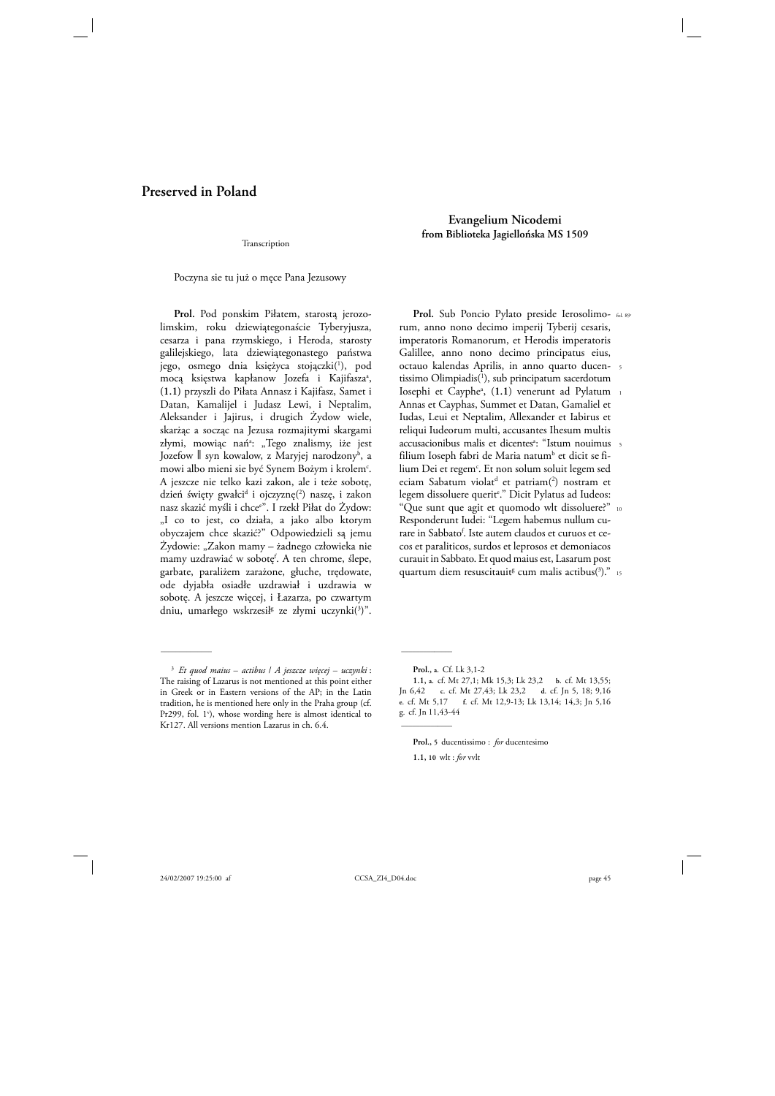# **Preserved in Poland**

Transcription

Poczyna sie tu już o męce Pana Jezusowy

**Prol.** Pod ponskim Piłatem, starostą jerozolimskim, roku dziewiątegonaście Tyberyjusza, cesarza i pana rzymskiego, i Heroda, starosty galilejskiego, lata dziewiątegonastego państwa jego, osmego dnia księżyca stojączki(<sup>1</sup>), pod mocą księstwa kapłanow Jozefa i Kajifasza<sup>a</sup>, **(1.1)** przyszli do Piłata Annasz i Kajifasz, Samet i Datan, Kamalijel i Judasz Lewi, i Neptalim, Aleksander i Jajirus, i drugich Żydow wiele, skarżąc a socząc na Jezusa rozmajitymi skargami złymi, mowiąc nań<sup>a</sup>: "Tego znalismy, iże jest Jozefow || syn kowalow, z Maryjej narodzony<sup>b</sup>, a mowi albo mieni sie być Synem Bożym i krolem<sup>c</sup>. A jeszcze nie telko kazi zakon, ale i teże sobotę, dzień święty gwałci<sup>d</sup> i ojczyznę(<sup>2</sup>) naszę, i zakon nasz skazić myśli i chcee ". I rzekł Piłat do Żydow: "I co to jest, co działa, a jako albo ktorym obyczajem chce skazić?" Odpowiedzieli są jemu Żydowie: "Zakon mamy – żadnego człowieka nie mamy uzdrawiać w sobotę<sup>f</sup>. A ten chrome, ślepe, garbate, paraliżem zarażone, głuche, trędowate, ode dyjabła osiadłe uzdrawiał i uzdrawia w sobotę. A jeszcze więcej, i Łazarza, po czwartym dniu, umarłego wskrzesił<sup>g</sup> ze złymi uczynki(<sup>3</sup>)".

\_\_\_\_\_\_\_\_\_\_\_\_\_\_ \_\_\_\_\_\_\_\_\_\_\_\_\_\_

**Evangelium Nicodemi from Biblioteka Jagiellońska MS 1509** 

Prol. Sub Poncio Pylato preside Ierosolimo- fol. 89<sup>r</sup> rum, anno nono decimo imperij Tyberij cesaris, imperatoris Romanorum, et Herodis imperatoris Galillee, anno nono decimo principatus eius, octauo kalendas Aprilis, in anno quarto ducen-5 tissimo Olimpiadis<sup>(1</sup>), sub principatum sacerdotum Iosephi et Cayphe<sup>a</sup>, (1.1) venerunt ad Pylatum 1 Annas et Cayphas, Summet et Datan, Gamaliel et Iudas, Leui et Neptalim, Allexander et Iabirus et reliqui Iudeorum multi, accusantes Ihesum multis accusacionibus malis et dicentes<sup>a</sup>: "Istum nouimus 5 filium Ioseph fabri de Maria natum<sup>b</sup> et dicit se filium Dei et regem<sup>c</sup>. Et non solum soluit legem sed eciam Sabatum violat<sup>d</sup> et patriam(<sup>2</sup>) nostram et legem dissoluere querit<sup>e</sup>." Dicit Pylatus ad Iudeos: "Que sunt que agit et quomodo wlt dissoluere?" 10 Responderunt Iudei: "Legem habemus nullum curare in Sabbato<sup>f</sup>. Iste autem claudos et curuos et cecos et paraliticos, surdos et leprosos et demoniacos curauit in Sabbato. Et quod maius est, Lasarum post quartum diem resuscitauit<sup>s</sup> cum malis actibus(<sup>3</sup>)." 15

**Prol., a.** Cf. Lk 3,1-2

**Prol., 5** ducentissimo : *for* ducentesimo

 $\mathcal{L}=\mathcal{L}$ 

<sup>3</sup> *Et quod maius* – *actibus* / *A jeszcze więcej* – *uczynki* : The raising of Lazarus is not mentioned at this point either in Greek or in Eastern versions of the AP; in the Latin tradition, he is mentioned here only in the Praha group (cf. Pr299, fol. 1<sup>v</sup>), whose wording here is almost identical to Kr127. All versions mention Lazarus in ch. 6.4.

**<sup>1.1,</sup> a.** cf. Mt 27,1; Mk 15,3; Lk 23,2 **b.** cf. Mt 13,55; Jn 6,42 **c.** cf. Mt 27,43; Lk 23,2 **d.** cf. Jn 5, 18; 9,16 **e.** cf. Mt 5,17 **f.** cf. Mt 12,9-13; Lk 13,14; 14,3; Jn 5,16 g**.** cf. Jn 11,43-44

**<sup>1.1, 10</sup>** wlt : *for* vvlt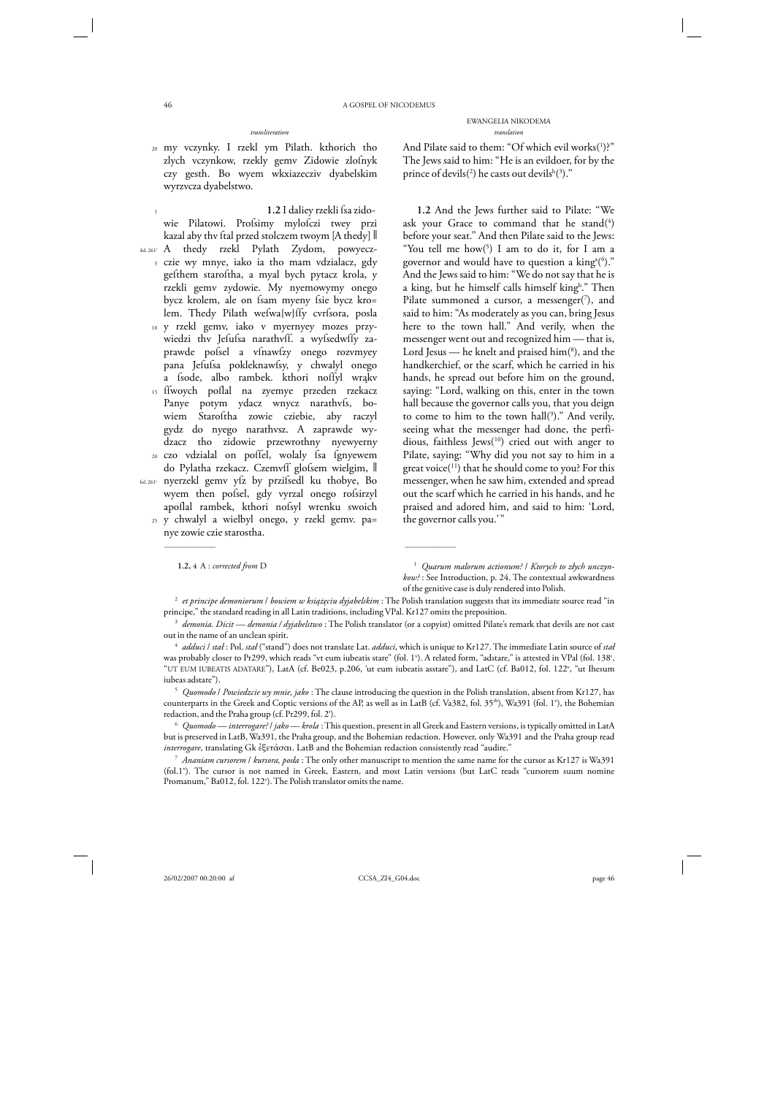- 20 my vczynky. I rzekl ym Pilath. kthorich tho zlych vczynkow, rzekly gemv Zidowie zlofnyk czy gesth. Bo wyem wkxiazecziv dyabelskim wyrzvcza dyabelstwo.
- 1 fol. 261r A thedy rzekl Pylath Zydom, powyecz-5 czie wy mnye, iako ia tho mam vdzialacz, gdy 10 y rzekl gemv, iako v myernyey mozes przy-**1.2** I daliey rzekli ſsa zidowie Pilatowi. Profsimy mylofczi twey przi kazal aby thv ftal przed stolczem twoym [A thedy]  $\parallel$ gefthem staroftha, a myal bych pytacz krola, y rzekli gemv zydowie. My nyemowymy onego bycz krolem, ale on fsam myeny fsie bycz kro= lem. Thedy Pilath weſwa{w}ſſy cvrſsora, posla wiedzi thv Jefufsa narathvff. a wyfsedwffy zaprawde pofsel a vfnawfzy onego rozvmyey pana Jefufsa pokleknawfsy, y chwalyl onego a fsode, albo rambek. kthori noffyl wrąkv
	- 15 ffwoych poflal na zyemye przeden rzekacz 20 czo vdzialal on poſſel, wolaly ſsa ſgnyewem Panye potym ydacz wnycz narathvfs, bowiem Staroftha zowie cziebie, aby raczyl gydz do nyego narathvsz. A zaprawde wydzacz tho zidowie przewrothny nyewyerny
- fol. 261v nyerzekl gemv yſz by prziſsedl ku thobye, Bo do Pylatha rzekacz. Czemvff glofsem wielgim,  $\parallel$ wyem then pofsel, gdy vyrzal onego rofsirzyl apoflal rambek, kthori nofsyl wrenku swoich
	- 25 y chwalyl a wielbyl onego, y rzekl gemv. pa= nye zowie czie starostha.

\_\_\_\_\_\_\_\_\_\_\_\_\_\_ \_\_\_\_\_\_\_\_\_\_\_\_\_\_

And Pilate said to them: "Of which evil works $(1)$ ?" The Jews said to him: "He is an evildoer, for by the prince of devils(<sup>2</sup>) he casts out devils<sup>h(3</sup>)."

**1.2** And the Jews further said to Pilate: "We ask your Grace to command that he stand( $4$ ) before your seat." And then Pilate said to the Jews: "You tell me  $how(5)$  I am to do it, for I am a governor and would have to question a  $\operatorname{king\!^a(^6).}$ And the Jews said to him: "We do not say that he is a king, but he himself calls himself king<sup>b</sup>." Then Pilate summoned a cursor, a messenger( $7$ ), and said to him: "As moderately as you can, bring Jesus here to the town hall." And verily, when the messenger went out and recognized him — that is, Lord Jesus — he knelt and praised him(<sup>8</sup>), and the handkerchief, or the scarf, which he carried in his hands, he spread out before him on the ground, saying: "Lord, walking on this, enter in the town hall because the governor calls you, that you deign to come to him to the town hall(9 )." And verily, seeing what the messenger had done, the perfidious, faithless Jews(<sup>10</sup>) cried out with anger to Pilate, saying: "Why did you not say to him in a great voice $(^{11})$  that he should come to you? For this messenger, when he saw him, extended and spread out the scarf which he carried in his hands, and he praised and adored him, and said to him: 'Lord, the governor calls you.'"

EWANGELIA NIKODEMA *transliteration translation*

**<sup>1.2, 4</sup>** A : *corrected from* D 1 *Quarum malorum actionum?* / *Ktorych to złych unczynkow?* : See Introduction, p. 24. The contextual awkwardness of the genitive case is duly rendered into Polish.

<sup>2</sup> *et principe demoniorum* / *bowiem w książęciu dyjabelskim* : The Polish translation suggests that its immediate source read "in

principe," the standard reading in all Latin traditions, including VPal. Kr127 omits the preposition.<br>
<sup>3</sup> *demonia. Dicit* — *demonia* / *dyjabelstwo* : The Polish translator (or a copyist) omitted Pilate's remark that d

<sup>&</sup>lt;sup>4</sup> *adduci | stał* : Pol. *stał* ("stand") does not translate Lat. *adduci*, which is unique to Kr127. The immediate Latin source of *stał* was probably closer to Pr299, which reads "vt eum iubeatis stare" (fol. 1'). A related form, "adstare," is attested in VPal (fol. 138', "UT EUM IUBEATIS ADATARE"), LatA (cf. Be023, p.206, 'ut eum iubeatis asstare"), and LatC (cf. Ba012, fol. 122v , "ut Ihesum iubeas adstare"). 5 *Quomodo* / *Powiedzcie wy mnie, jako* : The clause introducing the question in the Polish translation, absent from Kr127, has

counterparts in the Greek and Coptic versions of the AP, as well as in LatB (cf. Va382, fol. 35<sup>rb</sup>), Wa391 (fol. 1<sup>v</sup>), the Bohemian redaction, and the Praha group (cf. Pr299, fol. 2<sup>r</sup>).

<sup>). 6</sup> *Quomodo* — *interrogare?* / *jako* — *krola* : This question, present in all Greek and Eastern versions, is typically omitted in LatA but is preserved in LatB, Wa391, the Praha group, and the Bohemian redaction. However, only Wa391 and the Praha group read *interrogare*, translating Gk  $\epsilon$ 5 $\epsilon$ τάσαι. LatB and the Bohemian redaction consistently read "audire."<br><sup>7</sup> *Ananiam cursorem | kursora, posla* : The only other manuscript to mention the same name for the cursor as Kr12

<sup>(</sup>fol.1<sup>v</sup>). The cursor is not named in Greek, Eastern, and most Latin versions (but LatC reads "cursorem suum nomine Promanum," Ba012, fol. 122<sup>v</sup>). The Polish translator omits the name.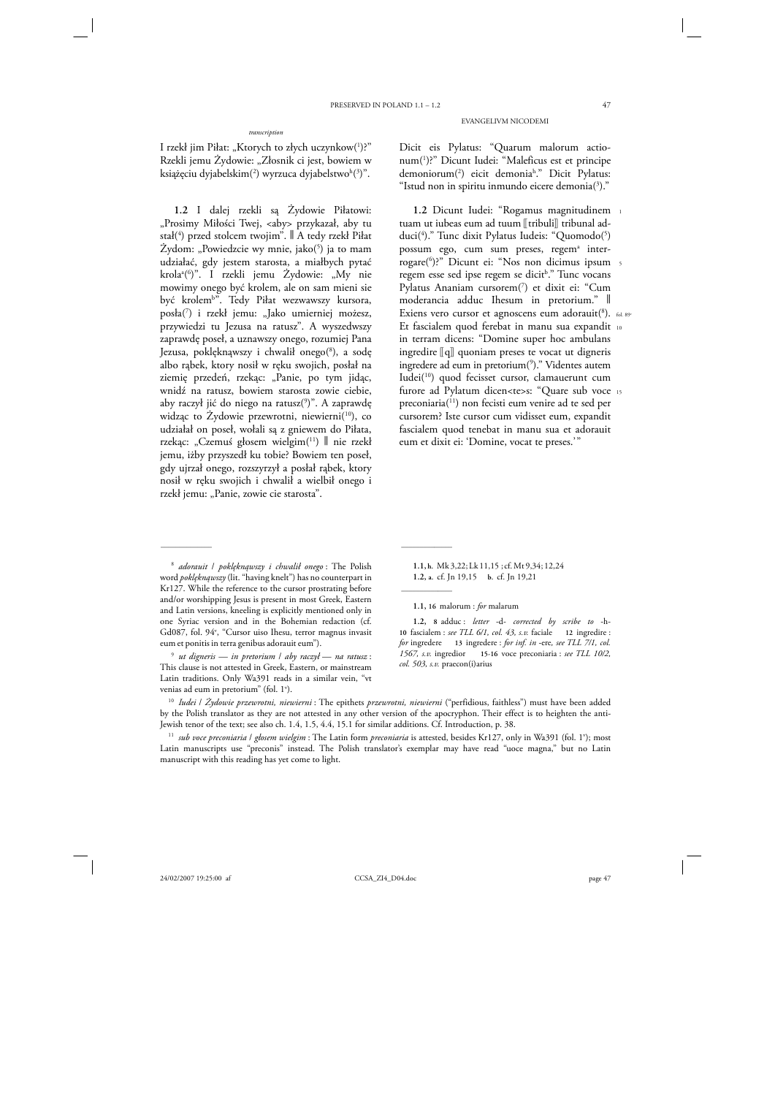#### *transcription*

I rzekł jim Piłat: "Ktorych to złych uczynkow(')?" Rzekli jemu Żydowie: "Złosnik ci jest, bowiem w książęciu dyjabelskim $(^2)$  wyrzuca dyjabelstwo $^{\rm h}({}^3)$ ".

**1.2** I dalej rzekli są Żydowie Piłatowi: "Prosimy Miłości Twej, <aby> przykazał, aby tu stał(4 ) przed stolcem twojim". ‖ A tedy rzekł Piłat Żydom: "Powiedzcie wy mnie, jako $(5)$  ja to mam udziałać, gdy jestem starosta, a miałbych pytać krolaª(<sup>6</sup>)". I rzekli jemu Żydowie: "My nie mowimy onego być krolem, ale on sam mieni sie być krolem<sup>ь</sup>". Tedy Piłat wezwawszy kursora, posła(7 ) i rzekł jemu: "Jako umierniej możesz, przywiedzi tu Jezusa na ratusz". A wyszedwszy zaprawdę poseł, a uznawszy onego, rozumiej Pana Jezusa, poklęknąwszy i chwalił onego(<sup>8</sup>), a sodę albo rąbek, ktory nosił w ręku swojich, posłał na ziemię przedeń, rzekąc: "Panie, po tym jidąc, wnidź na ratusz, bowiem starosta zowie ciebie, aby raczył jić do niego na ratusz(9 )". A zaprawdę widząc to Żydowie przewrotni, niewierni<sup>(10</sup>), co udziałał on poseł, wołali są z gniewem do Piłata, rzekąc: "Czemuś głosem wielgim<sup>(11</sup>) || nie rzekł jemu, iżby przyszedł ku tobie? Bowiem ten poseł, gdy ujrzał onego, rozszyrzył a posłał rąbek, ktory nosił w ręku swojich i chwalił a wielbił onego i rzekł jemu: "Panie, zowie cie starosta".

\_\_\_\_\_\_\_\_\_\_\_\_\_\_ \_\_\_\_\_\_\_\_\_\_\_\_\_\_

EVANGELIVM NICODEMI

Dicit eis Pylatus: "Quarum malorum actionum(1 )?" Dicunt Iudei: "Maleficus est et principe demoniorum(2 ) eicit demoniah ." Dicit Pylatus: "Istud non in spiritu inmundo eicere demonia $(3)$ ."

**1.2** Dicunt Iudei: "Rogamus magnitudinem 1 tuam ut iubeas eum ad tuum [[tribuli]] tribunal adduci(4 )." Tunc dixit Pylatus Iudeis: "Quomodo(5 ) possum ego, cum sum preses, regem<sup>a</sup> interrogare(6 )?" Dicunt ei: "Nos non dicimus ipsum 5 regem esse sed ipse regem se dicit<sup>b</sup>." Tunc vocans Pylatus Ananiam cursorem(7 ) et dixit ei: "Cum moderancia adduc Ihesum in pretorium." ‖ Exiens vero cursor et agnoscens eum adorauit(8). fol. 89<sup>v</sup> Et fascialem quod ferebat in manu sua expandit 10 in terram dicens: "Domine super hoc ambulans ingredire  $\llbracket q \rrbracket$  quoniam preses te vocat ut digneris ingredere ad eum in pretorium(9 )." Videntes autem Iudei(10) quod fecisset cursor, clamauerunt cum furore ad Pylatum dicen<te>s: "Quare sub voce 15 preconiaria(11) non fecisti eum venire ad te sed per cursorem? Iste cursor cum vidisset eum, expandit fascialem quod tenebat in manu sua et adorauit eum et dixit ei: 'Domine, vocat te preses.'"

**1.1, h.** Mk 3,22; Lk 11,15 ; cf. Mt 9,34; 12,24 **1.2, a.** cf. Jn 19,15 **b.** cf. Jn 19,21

**1.1, 16** malorum : *for* malarum

 $\overline{\phantom{a}}$ 

<sup>8</sup> *adorauit* / *poklęknąwszy i chwalił onego* : The Polish word *poklęknąwszy* (lit. "having knelt") has no counterpart in Kr127. While the reference to the cursor prostrating before and/or worshipping Jesus is present in most Greek, Eastern and Latin versions, kneeling is explicitly mentioned only in one Syriac version and in the Bohemian redaction (cf. Gd087, fol. 94<sup>v</sup>, "Cursor uiso Ihesu, terror magnus invasit eum et ponitis in terra genibus adorauit eum").

<sup>9</sup> *ut digneris* — *in pretorium* / *aby raczył* — *na ratusz* : This clause is not attested in Greek, Eastern, or mainstream Latin traditions. Only Wa391 reads in a similar vein, "vt venias ad eum in pretorium" (fol. 1<sup>v</sup>).

**<sup>1.2, 8</sup>** adduc : *letter* -d- *corrected by scribe to* -h-**10** fascialem : *see TLL 6/1, col. 43, s.v.* faciale **12** ingredire : *for* ingredere **13** ingredere : *for inf. in* -ere*, see TLL 7/1, col. 1567, s.v.* ingredior **15-16** voce preconiaria : *see TLL 10/2, col. 503, s.v.* praecon(i)arius

<sup>10</sup> *Iudei* / *Żydowie przewrotni, niewierni* : The epithets *przewrotni, niewierni* ("perfidious, faithless") must have been added by the Polish translator as they are not attested in any other version of the apocryphon. Their effect is to heighten the anti-Jewish tenor of the text; see also ch. 1.4, 1.5, 4.4, 15.1 for similar additions. Cf. Introduction, p. 38.

<sup>&</sup>lt;sup>11</sup> sub voce preconiaria / głosem wielgim : The Latin form *preconiaria* is attested, besides Kr127, only in Wa391 (fol. 1'); most Latin manuscripts use "preconis" instead. The Polish translator's exemplar may have read "uoce magna," but no Latin manuscript with this reading has yet come to light.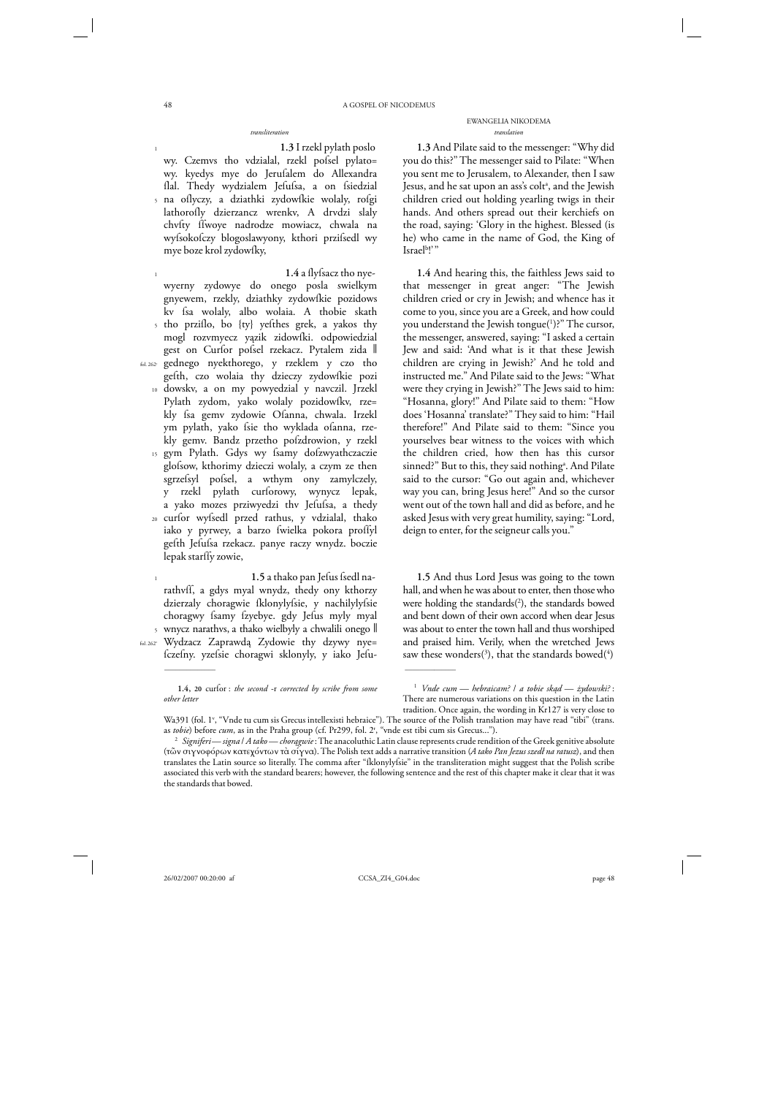### EWANGELIA NIKODEMA *transliteration translation*

**1.3** I rzekl pylath poslo

5 na oſlyczy, a dziathki zydowſkie wolaly, roſgi wy. Czemvs tho vdzialal, rzekl pofsel pylato= wy. kyedys mye do Jeruſalem do Allexandra flal. Thedy wydzialem Jefufsa, a on fsiedzial lathorofly dzierzancz wrenkv, A drvdzi slaly chvfty ffwoye nadrodze mowiacz, chwala na wyfsokofczy blogoslawyony, kthori przifsedl wy mye boze krol zydowfky,

1 5 tho prziſlo, bo {ty} yeſthes grek, a yakos thy fol. 262r gednego nyekthorego, y rzeklem y czo tho 10 dowskv, a on my powyedzial y navczil. Jrzekl 15 gym Pylath. Gdys wy fsamy dofzwyathczaczie 20 curſor wyſsedl przed rathus, y vdzialal, thako **1.4** a ſlyſsacz tho nyewyerny zydowye do onego posla swielkym gnyewem, rzekly, dziathky zydowſkie pozidows kv fsa wolaly, albo wolaia. A thobie skath mogl rozvmyecz yązik zidowſki. odpowiedzial gest on Curfor pofsel rzekacz. Pytalem zida || gefth, czo wolaia thy dzieczy zydowfkie pozi Pylath zydom, yako wolaly pozidowíky, rze= kly fsa gemv zydowie Ofanna, chwala. Irzekl ym pylath, yako fsie tho wyklada ofanna, rzekly gemv. Bandz przetho pofzdrowion, y rzekl glofsow, kthorimy dzieczi wolaly, a czym ze then sgrzefsyl pofsel, a wthym ony zamylczely, y rzekl pylath curſorowy, wynycz lepak, a yako mozes prziwyedzi thv Jefufsa, a thedy iako y pyrwey, a barzo fwielka pokora proffyl gefth Jefufsa rzekacz. panye raczy wnydz. boczie lepak starffy zowie,

5 wnycz narathvs, a thako wielbyly a chwalili onego ‖ fol. 262v Wydzacz Zaprawdą Zydowie thy dzywy nye= 1.5 a thako pan Jefus fsedl narathvff, a gdys myal wnydz, thedy ony kthorzy dzierzaly choragwie fklonylyfsie, y nachilylyfsie choragwy fsamy fzyebye. gdy Jefus myly myal

ſczeſny. yzeſsie choragwi sklonyly, y iako Jeſu-

\_\_\_\_\_\_\_\_\_\_\_\_\_\_ \_\_\_\_\_\_\_\_\_\_\_\_\_\_

**1.3** And Pilate said to the messenger: "Why did you do this?" The messenger said to Pilate: "When you sent me to Jerusalem, to Alexander, then I saw Jesus, and he sat upon an ass's coltª, and the Jewish children cried out holding yearling twigs in their hands. And others spread out their kerchiefs on the road, saying: 'Glory in the highest. Blessed (is he) who came in the name of God, the King of Israel<sup>b</sup>!'"

**1.4** And hearing this, the faithless Jews said to that messenger in great anger: "The Jewish children cried or cry in Jewish; and whence has it come to you, since you are a Greek, and how could you understand the Jewish tongue(1 )?" The cursor, the messenger, answered, saying: "I asked a certain Jew and said: 'And what is it that these Jewish children are crying in Jewish?' And he told and instructed me." And Pilate said to the Jews: "What were they crying in Jewish?" The Jews said to him: "Hosanna, glory!" And Pilate said to them: "How does 'Hosanna' translate?" They said to him: "Hail therefore!" And Pilate said to them: "Since you yourselves bear witness to the voices with which the children cried, how then has this cursor sinned?" But to this, they said nothingª. And Pilate said to the cursor: "Go out again and, whichever way you can, bring Jesus here!" And so the cursor went out of the town hall and did as before, and he asked Jesus with very great humility, saying: "Lord, deign to enter, for the seigneur calls you."

**1.5** And thus Lord Jesus was going to the town hall, and when he was about to enter, then those who were holding the standards $(^{2})$ , the standards bowed and bent down of their own accord when dear Jesus was about to enter the town hall and thus worshiped and praised him. Verily, when the wretched Jews saw these wonders( $\delta$ ), that the standards bowed( $\delta$ )

1

1

<sup>1.4, 20</sup> curfor : *the second* -r corrected by scribe from some *other letter*

<sup>1</sup> *Vnde cum* — *hebraicam?* / *a tobie skąd* — *żydowski?* : There are numerous variations on this question in the Latin tradition. Once again, the wording in Kr127 is very close to

Wa391 (fol. 1<sup>v</sup>, "Vnde tu cum sis Grecus intellexisti hebraice"). The source of the Polish translation may have read "tibi" (trans. as *tobie*) before *cum*, as in the Praha group (cf. Pr299, fol. 2<sup>r</sup>, "vnde est tibi cum sis Grecus...").

<sup>&</sup>lt;sup>2</sup> Signiferi—*signa | A tako—chorągwie* : The anacoluthic Latin clause represents crude rendition of the Greek genitive absolute (τῶν σιγνοφόρων κατεχόντων τὰ σίγνα). The Polish text adds a narrative transition (*A tako Pan Jezus szedł na ratusz*), and then translates the Latin source so literally. The comma after "ſklonylyſsie" in the transliteration might suggest that the Polish scribe associated this verb with the standard bearers; however, the following sentence and the rest of this chapter make it clear that it was the standards that bowed.